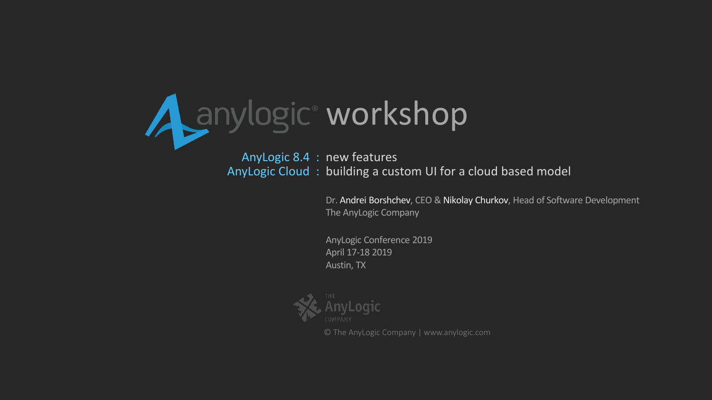

AnyLogic 8.4 : new features AnyLogic Cloud: building a custom UI for a cloud based model

> Dr. Andrei Borshchev, CEO & Nikolay Churkov, Head of Software Development The AnyLogic Company

AnyLogic Conference 2019 April 17-18 2019 Austin, TX



© The AnyLogic Company | www.anylogic.com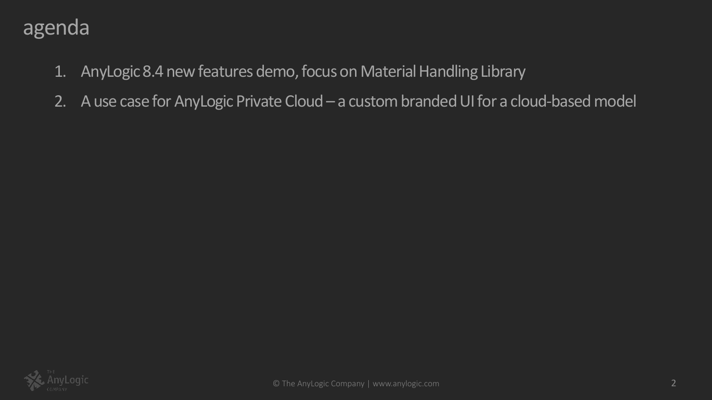### agenda

- 1. AnyLogic 8.4 new features demo, focus on Material Handling Library
- 2. A use case for AnyLogic Private Cloud a custom branded UI for a cloud-based model

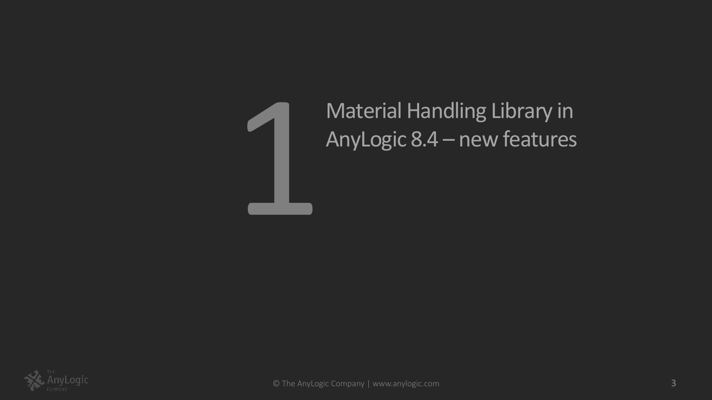

Material Handling Library in AnyLogic 8.4 – new features

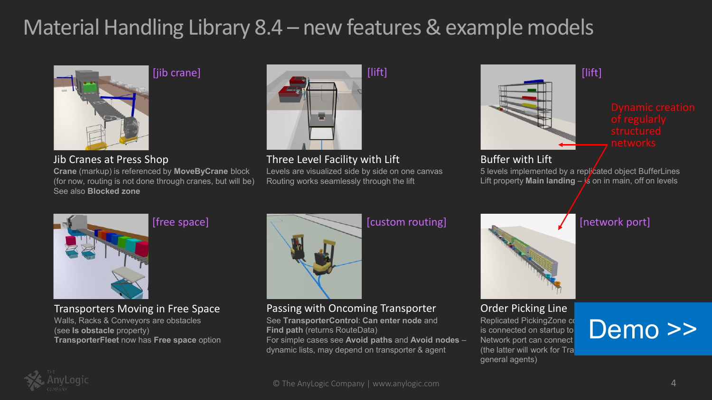# Material Handling Library 8.4 – new features & example models



Jib Cranes at Press Shop

**Crane** (markup) is referenced by **MoveByCrane** block (for now, routing is not done through cranes, but will be) See also **Blocked zone**



Three Level Facility with Lift

Levels are visualized side by side on one canvas Routing works seamlessly through the lift



5 levels implemented by a replicated object BufferLines Lift property **Main landing**  $-\frac{1}{5}$  on in main, off on levels

[network port]



[free space]

#### Transporters Moving in Free Space

Walls, Racks & Conveyors are obstacles (see **Is obstacle** property) **TransporterFleet** now has **Free space** option



**Find path** (returns RouteData)

### [custom routing]

Order Picking Line **Replicated PickingZone contains** is connected on startup to Network port can connect (the latter will work for Tra general agents)

# Demo >>



Passing with Oncoming Transporter See **TransporterControl**: **Can enter node** and

For simple cases see **Avoid paths** and **Avoid nodes** – dynamic lists, may depend on transporter & agent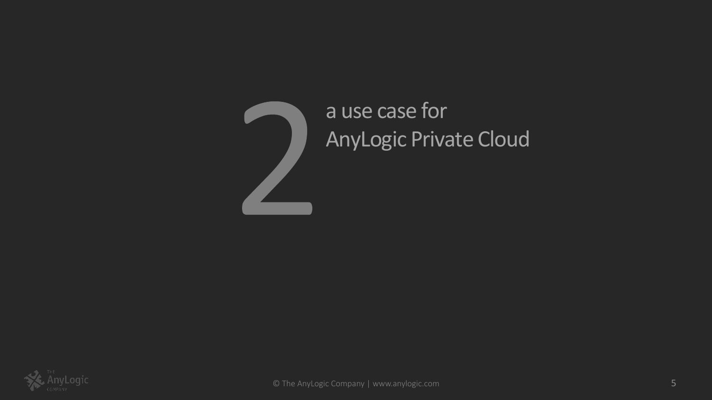

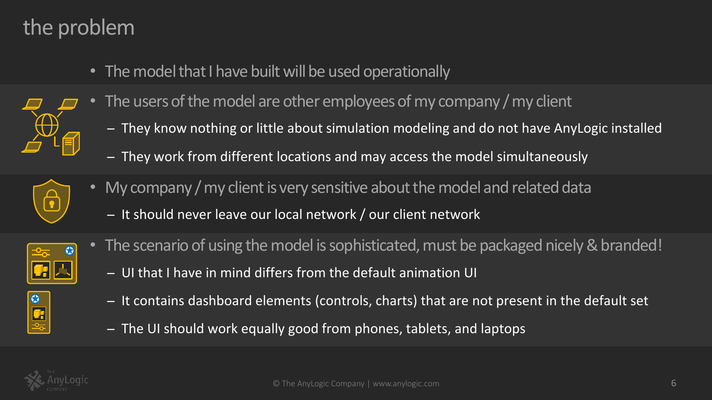# the problem

- The model that I have built will be used operationally
- The users of the model are other employees of my company / my client
	- ̶ They know nothing or little about simulation modeling and do not have AnyLogic installed
	- ̶ They work from different locations and may access the model simultaneously



- My company / my client is very sensitive about the model and related data
	- ̶ It should never leave our local network / our client network



 $\frac{1}{\sqrt{2}}$ 

- The scenario of using the model is sophisticated, must be packaged nicely & branded!
	- ̶ UI that I have in mind differs from the default animation UI
	- ̶ It contains dashboard elements (controls, charts) that are not present in the default set
	- ̶ The UI should work equally good from phones, tablets, and laptops

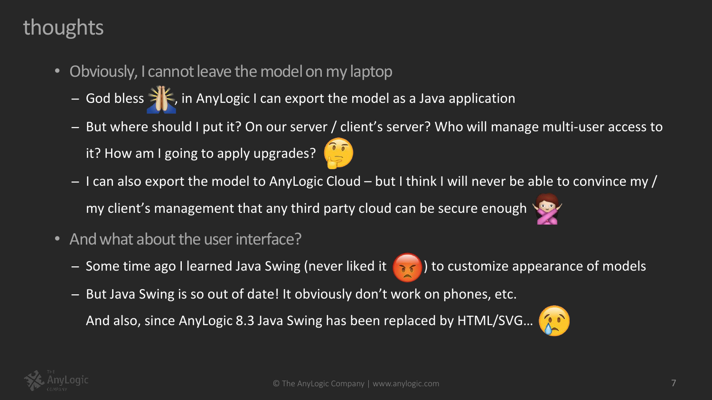## thoughts

- Obviously, I cannot leave the model on my laptop
	- God bless >  $\vert\vert$ , in AnyLogic I can export the model as a Java application
	- ̶ But where should I put it? On our server / client's server? Who will manage multi-user access to it? How am I going to apply upgrades?
	- $-$  I can also export the model to AnyLogic Cloud but I think I will never be able to convince my / my client's management that any third party cloud can be secure enough
- And what about the user interface?
	- Some time ago I learned Java Swing (never liked it **1868**) to customize appearance of models
	- ̶ But Java Swing is so out of date! It obviously don't work on phones, etc.

And also, since AnyLogic 8.3 Java Swing has been replaced by HTML/SVG...



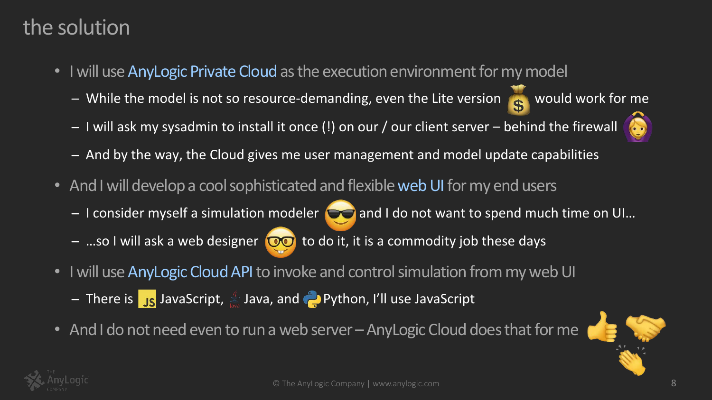## the solution

- I will use AnyLogic Private Cloud as the execution environment for my model
	- While the model is not so resource-demanding, even the Lite version as would work for me
	- I will ask my sysadmin to install it once (!) on our / our client server behind the firewall



- ̶ And by the way, the Cloud gives me user management and model update capabilities
- And I will develop a cool sophisticated and flexible web UI for my end users
	- $-I$  consider myself a simulation modeler  $O$  and I do not want to spend much time on UI...
	- $-$  ...so I will ask a web designer  $\circledcirc$  to do it, it is a commodity job these days
- I will use AnyLogic Cloud API to invoke and control simulation from my web UI
	- $\frac{1}{2}$  There is  $\frac{1}{2}s$  JavaScript,  $\frac{1}{2}$  Java, and  $\frac{1}{2}$  Python, I'll use JavaScript
- And I do not need even to run a web server AnyLogic Cloud does that for me



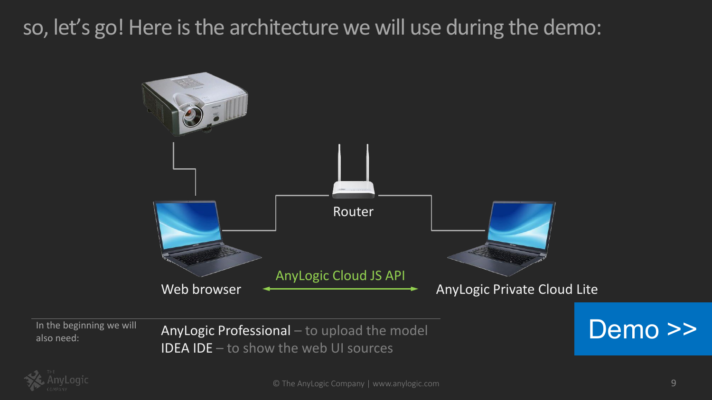# so, let's go! Here is the architecture we will use during the demo:



In the beginning we will

In the beginning we will **AnyLogic Professional** — to upload the model **Demo >>** IDEA IDE – to show the web UI sources



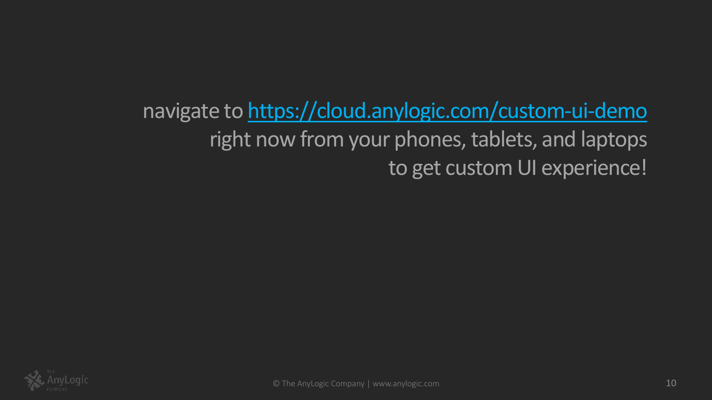navigate to<https://cloud.anylogic.com/custom-ui-demo> right now from your phones, tablets, and laptops to get custom UI experience!